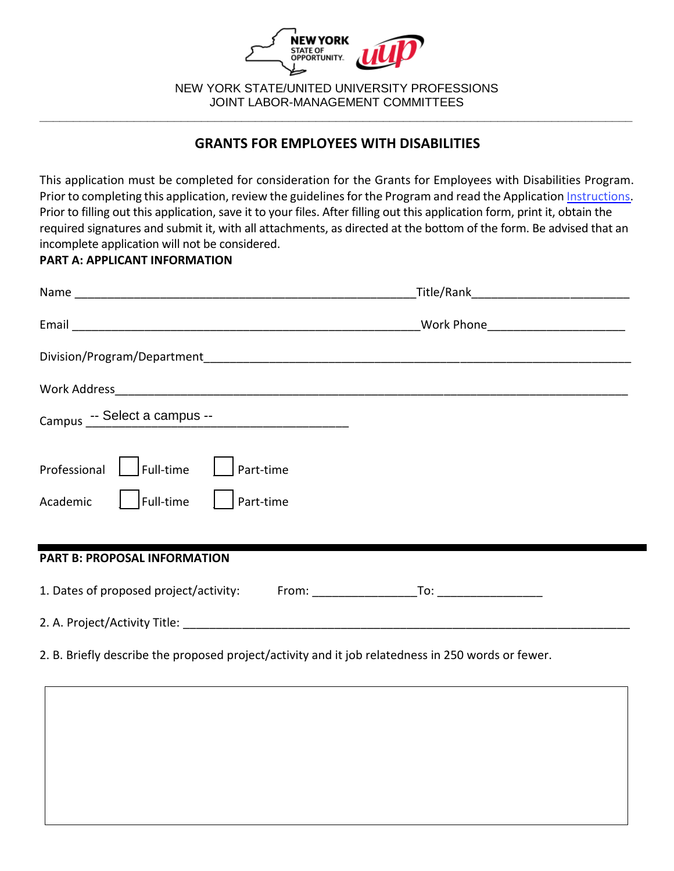

NEW YORK STATE/UNITED UNIVERSITY PROFESSIONS JOINT LABOR-MANAGEMENT COMMITTEES

**\_\_\_\_\_\_\_\_\_\_\_\_\_\_\_\_\_\_\_\_\_\_\_\_\_\_\_\_\_\_\_\_\_\_\_\_\_\_\_\_\_\_\_\_\_\_\_\_\_\_\_\_\_\_\_\_\_\_\_\_\_\_\_\_\_\_\_\_\_\_\_\_\_\_\_\_\_\_\_\_\_\_\_\_\_\_\_\_**

# **GRANTS FOR EMPLOYEES WITH DISABILITIES**

This application must be completed for consideration for the Grants for Employees with Disabilities Program. Prior to completing this application, review the guidelines for the Program and read the Application [Instructions.](https://oer.ny.gov//instructions-completing-fillable-pdf-application) Prior to filling out this application, save it to your files. After filling out this application form, print it, obtain the required signatures and submit it, with all attachments, as directed at the bottom of the form. Be advised that an incomplete application will not be considered.

## **PART A: APPLICANT INFORMATION**

|                                                                              | _Title/Rank________________________________ |  |
|------------------------------------------------------------------------------|---------------------------------------------|--|
|                                                                              | Work Phone__________________________        |  |
|                                                                              |                                             |  |
|                                                                              |                                             |  |
| Campus -- Select a campus --                                                 |                                             |  |
| Professional<br>Full-time<br>Part-time<br>Academic<br>Full-time<br>Part-time |                                             |  |
|                                                                              |                                             |  |
| <b>PART B: PROPOSAL INFORMATION</b>                                          |                                             |  |
| 1. Dates of proposed project/activity:                                       |                                             |  |
|                                                                              |                                             |  |

2. B. Briefly describe the proposed project/activity and it job relatedness in 250 words or fewer.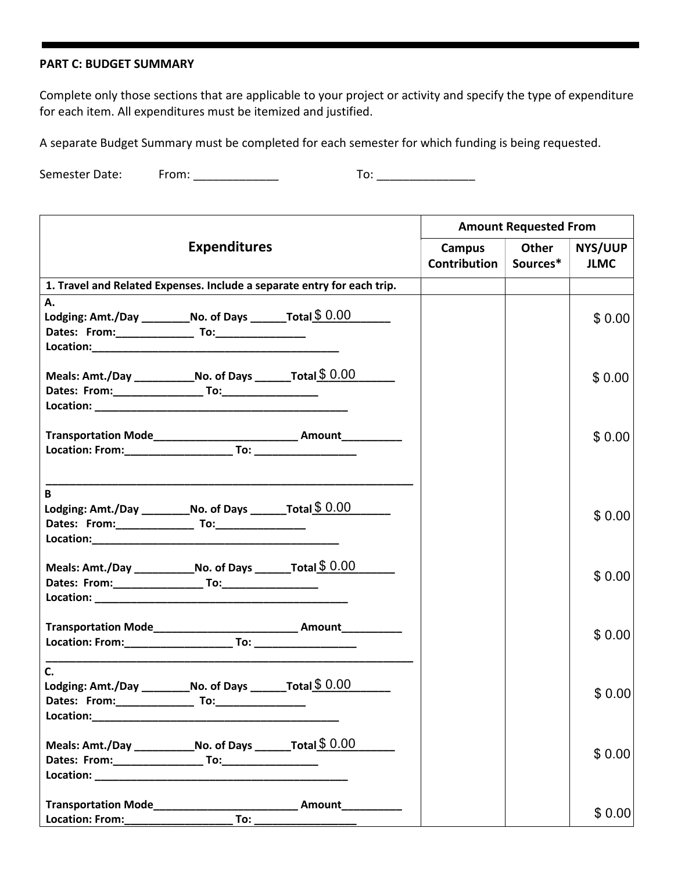#### **PART C: BUDGET SUMMARY**

Complete only those sections that are applicable to your project or activity and specify the type of expenditure for each item. All expenditures must be itemized and justified.

A separate Budget Summary must be completed for each semester for which funding is being requested.

Semester Date: From: \_\_\_\_\_\_\_\_\_\_\_\_\_ To: \_\_\_\_\_\_\_\_\_\_\_\_\_\_\_

|                                                                                                                                                                                                                               |                     | <b>Amount Requested From</b>                                                     |                     |          |             |
|-------------------------------------------------------------------------------------------------------------------------------------------------------------------------------------------------------------------------------|---------------------|----------------------------------------------------------------------------------|---------------------|----------|-------------|
|                                                                                                                                                                                                                               | <b>Expenditures</b> |                                                                                  | Campus              | Other    | NYS/UUP     |
|                                                                                                                                                                                                                               |                     |                                                                                  | <b>Contribution</b> | Sources* | <b>JLMC</b> |
|                                                                                                                                                                                                                               |                     | 1. Travel and Related Expenses. Include a separate entry for each trip.          |                     |          |             |
| А.                                                                                                                                                                                                                            |                     |                                                                                  |                     |          |             |
| Lodging: Amt./Day _____________No. of Days __________Total $$0.00$                                                                                                                                                            |                     |                                                                                  |                     |          | \$0.00      |
|                                                                                                                                                                                                                               |                     |                                                                                  |                     |          |             |
|                                                                                                                                                                                                                               |                     |                                                                                  |                     |          |             |
| Meals: Amt./Day ________________No. of Days __________Total $$0.00$                                                                                                                                                           |                     |                                                                                  |                     |          | \$0.00      |
|                                                                                                                                                                                                                               |                     |                                                                                  |                     |          |             |
|                                                                                                                                                                                                                               |                     |                                                                                  |                     |          |             |
|                                                                                                                                                                                                                               |                     | Transportation Mode___________________________________ Amount___________________ |                     |          |             |
|                                                                                                                                                                                                                               |                     |                                                                                  |                     |          | \$0.00      |
|                                                                                                                                                                                                                               |                     |                                                                                  |                     |          |             |
| B                                                                                                                                                                                                                             |                     |                                                                                  |                     |          |             |
| Lodging: Amt./Day ____________No. of Days __________Total $$0.00$                                                                                                                                                             |                     |                                                                                  |                     |          | \$0.00      |
|                                                                                                                                                                                                                               |                     |                                                                                  |                     |          |             |
|                                                                                                                                                                                                                               |                     |                                                                                  |                     |          |             |
| Meals: Amt./Day ________________No. of Days __________Total $$0.00$                                                                                                                                                           |                     |                                                                                  |                     |          |             |
|                                                                                                                                                                                                                               |                     |                                                                                  |                     |          | \$0.00      |
|                                                                                                                                                                                                                               |                     |                                                                                  |                     |          |             |
|                                                                                                                                                                                                                               |                     | Transportation Mode___________________________________ Amount___________________ |                     |          |             |
|                                                                                                                                                                                                                               |                     |                                                                                  |                     |          | \$0.00      |
| $C_{\cdot}$                                                                                                                                                                                                                   |                     |                                                                                  |                     |          |             |
| Lodging: Amt./Day _____________No. of Days _________ Total $$0.00$                                                                                                                                                            |                     |                                                                                  |                     |          |             |
| Dates: From: ____________________ To:___                                                                                                                                                                                      |                     |                                                                                  |                     |          | \$0.00      |
| Location: New York Processing Contract on the Contract of the Contract of the Contract of the Contract of the Contract of the Contract of the Contract of the Contract of the Contract of the Contract of the Contract of the |                     |                                                                                  |                     |          |             |
| Meals: Amt./Day ________________No. of Days _________Total $$0.00$                                                                                                                                                            |                     |                                                                                  |                     |          |             |
|                                                                                                                                                                                                                               |                     |                                                                                  |                     |          | \$0.00      |
|                                                                                                                                                                                                                               |                     |                                                                                  |                     |          |             |
| Transportation Mode                                                                                                                                                                                                           |                     | Amount                                                                           |                     |          |             |
|                                                                                                                                                                                                                               | To:                 |                                                                                  |                     |          | \$0.00      |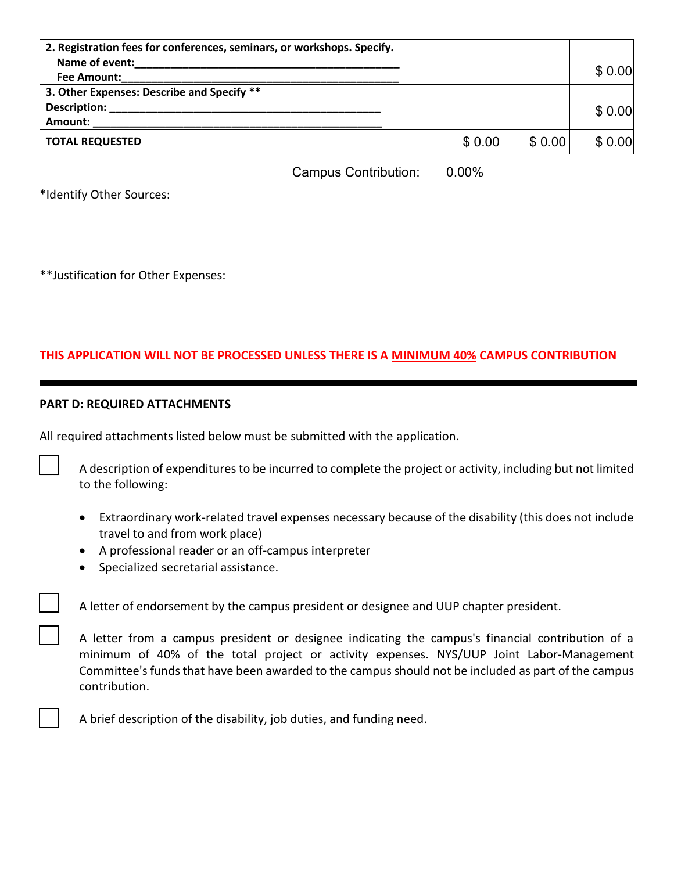| 2. Registration fees for conferences, seminars, or workshops. Specify. |        |        |        |
|------------------------------------------------------------------------|--------|--------|--------|
| Name of event:                                                         |        |        |        |
| Fee Amount:                                                            |        |        | \$0.00 |
| 3. Other Expenses: Describe and Specify **                             |        |        |        |
| <b>Description:</b>                                                    |        |        | \$0.00 |
| Amount:                                                                |        |        |        |
| <b>TOTAL REQUESTED</b>                                                 | \$0.00 | \$0.00 | \$0.00 |

Campus Contribution: 0.00%

\*Identify Other Sources:

\*\*Justification for Other Expenses:

## **THIS APPLICATION WILL NOT BE PROCESSED UNLESS THERE IS A MINIMUM 40% CAMPUS CONTRIBUTION**

### **PART D: REQUIRED ATTACHMENTS**

All required attachments listed below must be submitted with the application.

A description of expenditures to be incurred to complete the project or activity, including but not limited to the following:

- Extraordinary work-related travel expenses necessary because of the disability (this does not include travel to and from work place)
- A professional reader or an off-campus interpreter
- Specialized secretarial assistance.

A letter of endorsement by the campus president or designee and UUP chapter president.

A letter from a campus president or designee indicating the campus's financial contribution of a minimum of 40% of the total project or activity expenses. NYS/UUP Joint Labor-Management Committee's funds that have been awarded to the campus should not be included as part of the campus contribution.